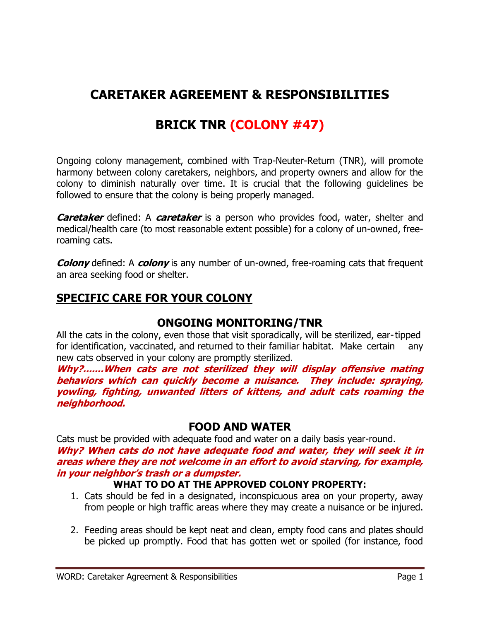# **CARETAKER AGREEMENT & RESPONSIBILITIES**

# **BRICK TNR (COLONY #47)**

Ongoing colony management, combined with Trap-Neuter-Return (TNR), will promote harmony between colony caretakers, neighbors, and property owners and allow for the colony to diminish naturally over time. It is crucial that the following guidelines be followed to ensure that the colony is being properly managed.

**Caretaker** defined: A **caretaker** is a person who provides food, water, shelter and medical/health care (to most reasonable extent possible) for a colony of un-owned, freeroaming cats.

**Colony** defined: A **colony** is any number of un-owned, free-roaming cats that frequent an area seeking food or shelter.

## **SPECIFIC CARE FOR YOUR COLONY**

#### **ONGOING MONITORING/TNR**

All the cats in the colony, even those that visit sporadically, will be sterilized, ear-tipped for identification, vaccinated, and returned to their familiar habitat. Make certain any new cats observed in your colony are promptly sterilized.

**Why?.......When cats are not sterilized they will display offensive mating behaviors which can quickly become a nuisance. They include: spraying, yowling, fighting, unwanted litters of kittens, and adult cats roaming the neighborhood.** 

#### **FOOD AND WATER**

Cats must be provided with adequate food and water on a daily basis year-round. **Why? When cats do not have adequate food and water, they will seek it in areas where they are not welcome in an effort to avoid starving, for example, in your neighbor's trash or a dumpster.** 

#### **WHAT TO DO AT THE APPROVED COLONY PROPERTY:**

- 1. Cats should be fed in a designated, inconspicuous area on your property, away from people or high traffic areas where they may create a nuisance or be injured.
- 2. Feeding areas should be kept neat and clean, empty food cans and plates should be picked up promptly. Food that has gotten wet or spoiled (for instance, food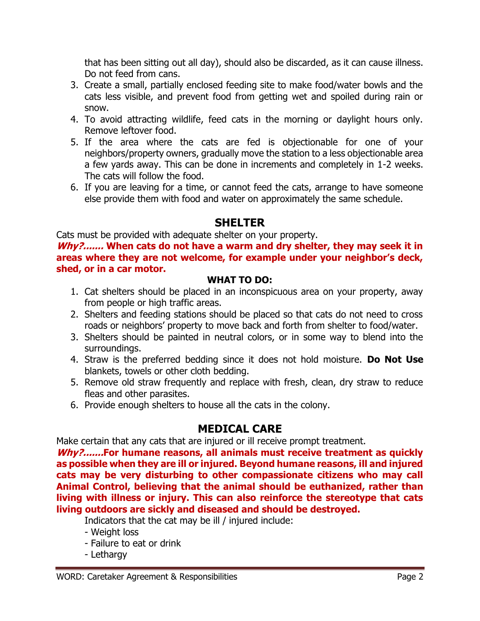that has been sitting out all day), should also be discarded, as it can cause illness. Do not feed from cans.

- 3. Create a small, partially enclosed feeding site to make food/water bowls and the cats less visible, and prevent food from getting wet and spoiled during rain or snow.
- 4. To avoid attracting wildlife, feed cats in the morning or daylight hours only. Remove leftover food.
- 5. If the area where the cats are fed is objectionable for one of your neighbors/property owners, gradually move the station to a less objectionable area a few yards away. This can be done in increments and completely in 1-2 weeks. The cats will follow the food.
- 6. If you are leaving for a time, or cannot feed the cats, arrange to have someone else provide them with food and water on approximately the same schedule.

## **SHELTER**

Cats must be provided with adequate shelter on your property.

**Why?....... When cats do not have a warm and dry shelter, they may seek it in areas where they are not welcome, for example under your neighbor's deck, shed, or in a car motor.** 

#### **WHAT TO DO:**

- 1. Cat shelters should be placed in an inconspicuous area on your property, away from people or high traffic areas.
- 2. Shelters and feeding stations should be placed so that cats do not need to cross roads or neighbors' property to move back and forth from shelter to food/water.
- 3. Shelters should be painted in neutral colors, or in some way to blend into the surroundings.
- 4. Straw is the preferred bedding since it does not hold moisture. **Do Not Use** blankets, towels or other cloth bedding.
- 5. Remove old straw frequently and replace with fresh, clean, dry straw to reduce fleas and other parasites.
- 6. Provide enough shelters to house all the cats in the colony.

## **MEDICAL CARE**

Make certain that any cats that are injured or ill receive prompt treatment.

**Why?.......For humane reasons, all animals must receive treatment as quickly as possible when they are ill or injured. Beyond humane reasons, ill and injured cats may be very disturbing to other compassionate citizens who may call Animal Control, believing that the animal should be euthanized, rather than living with illness or injury. This can also reinforce the stereotype that cats living outdoors are sickly and diseased and should be destroyed.** 

Indicators that the cat may be ill / injured include:

- Weight loss
- Failure to eat or drink
- Lethargy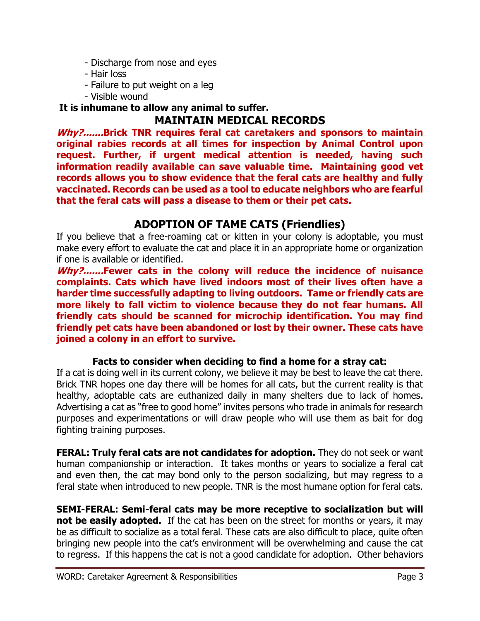- Discharge from nose and eyes
- Hair loss
- Failure to put weight on a leg
- Visible wound

#### **It is inhumane to allow any animal to suffer.**

## **MAINTAIN MEDICAL RECORDS**

**Why?.......Brick TNR requires feral cat caretakers and sponsors to maintain original rabies records at all times for inspection by Animal Control upon request. Further, if urgent medical attention is needed, having such information readily available can save valuable time. Maintaining good vet records allows you to show evidence that the feral cats are healthy and fully vaccinated. Records can be used as a tool to educate neighbors who are fearful that the feral cats will pass a disease to them or their pet cats.** 

## **ADOPTION OF TAME CATS (Friendlies)**

If you believe that a free-roaming cat or kitten in your colony is adoptable, you must make every effort to evaluate the cat and place it in an appropriate home or organization if one is available or identified.

**Why?.......Fewer cats in the colony will reduce the incidence of nuisance complaints. Cats which have lived indoors most of their lives often have a harder time successfully adapting to living outdoors. Tame or friendly cats are more likely to fall victim to violence because they do not fear humans. All friendly cats should be scanned for microchip identification. You may find friendly pet cats have been abandoned or lost by their owner. These cats have joined a colony in an effort to survive.** 

#### **Facts to consider when deciding to find a home for a stray cat:**

If a cat is doing well in its current colony, we believe it may be best to leave the cat there. Brick TNR hopes one day there will be homes for all cats, but the current reality is that healthy, adoptable cats are euthanized daily in many shelters due to lack of homes. Advertising a cat as "free to good home" invites persons who trade in animals for research purposes and experimentations or will draw people who will use them as bait for dog fighting training purposes.

**FERAL: Truly feral cats are not candidates for adoption.** They do not seek or want human companionship or interaction. It takes months or years to socialize a feral cat and even then, the cat may bond only to the person socializing, but may regress to a feral state when introduced to new people. TNR is the most humane option for feral cats.

**SEMI-FERAL: Semi-feral cats may be more receptive to socialization but will not be easily adopted.** If the cat has been on the street for months or years, it may be as difficult to socialize as a total feral. These cats are also difficult to place, quite often bringing new people into the cat's environment will be overwhelming and cause the cat to regress. If this happens the cat is not a good candidate for adoption. Other behaviors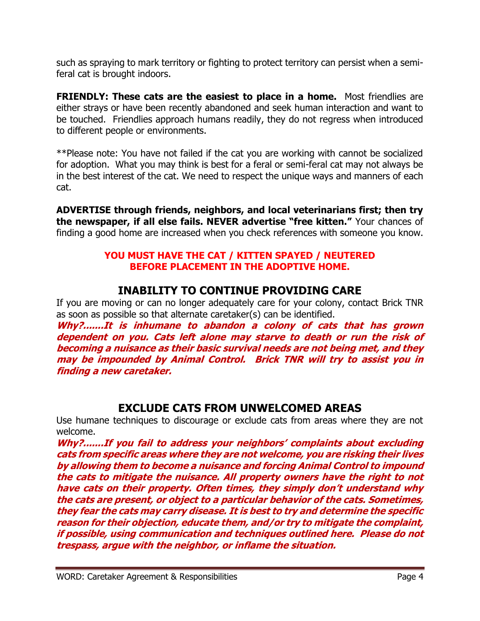such as spraying to mark territory or fighting to protect territory can persist when a semiferal cat is brought indoors.

**FRIENDLY: These cats are the easiest to place in a home.** Most friendlies are either strays or have been recently abandoned and seek human interaction and want to be touched. Friendlies approach humans readily, they do not regress when introduced to different people or environments.

\*\*Please note: You have not failed if the cat you are working with cannot be socialized for adoption. What you may think is best for a feral or semi-feral cat may not always be in the best interest of the cat. We need to respect the unique ways and manners of each cat.

**ADVERTISE through friends, neighbors, and local veterinarians first; then try the newspaper, if all else fails. NEVER advertise "free kitten."** Your chances of finding a good home are increased when you check references with someone you know.

#### **YOU MUST HAVE THE CAT / KITTEN SPAYED / NEUTERED BEFORE PLACEMENT IN THE ADOPTIVE HOME.**

## **INABILITY TO CONTINUE PROVIDING CARE**

If you are moving or can no longer adequately care for your colony, contact Brick TNR as soon as possible so that alternate caretaker(s) can be identified.

**Why?.......It is inhumane to abandon a colony of cats that has grown dependent on you. Cats left alone may starve to death or run the risk of becoming a nuisance as their basic survival needs are not being met, and they may be impounded by Animal Control. Brick TNR will try to assist you in finding a new caretaker.** 

## **EXCLUDE CATS FROM UNWELCOMED AREAS**

Use humane techniques to discourage or exclude cats from areas where they are not welcome.

**Why?.......If you fail to address your neighbors' complaints about excluding cats from specific areas where they are not welcome, you are risking their lives by allowing them to become a nuisance and forcing Animal Control to impound the cats to mitigate the nuisance. All property owners have the right to not have cats on their property. Often times, they simply don't understand why the cats are present, or object to a particular behavior of the cats. Sometimes, they fear the cats may carry disease. It is best to try and determine the specific reason for their objection, educate them, and/or try to mitigate the complaint, if possible, using communication and techniques outlined here. Please do not trespass, argue with the neighbor, or inflame the situation.**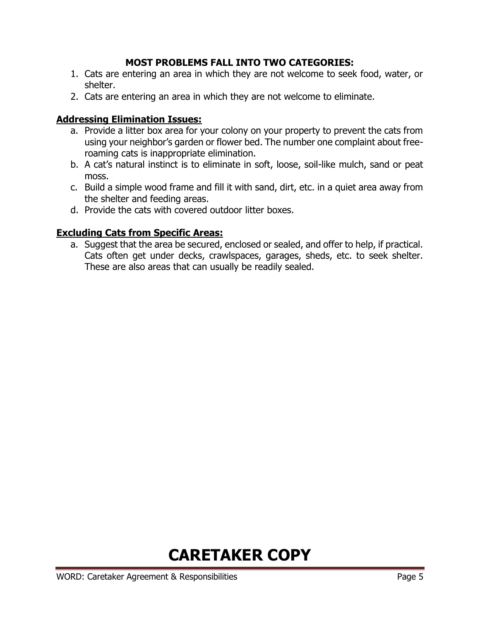#### **MOST PROBLEMS FALL INTO TWO CATEGORIES:**

- 1. Cats are entering an area in which they are not welcome to seek food, water, or shelter.
- 2. Cats are entering an area in which they are not welcome to eliminate.

#### **Addressing Elimination Issues:**

- a. Provide a litter box area for your colony on your property to prevent the cats from using your neighbor's garden or flower bed. The number one complaint about freeroaming cats is inappropriate elimination.
- b. A cat's natural instinct is to eliminate in soft, loose, soil-like mulch, sand or peat moss.
- c. Build a simple wood frame and fill it with sand, dirt, etc. in a quiet area away from the shelter and feeding areas.
- d. Provide the cats with covered outdoor litter boxes.

#### **Excluding Cats from Specific Areas:**

a. Suggest that the area be secured, enclosed or sealed, and offer to help, if practical. Cats often get under decks, crawlspaces, garages, sheds, etc. to seek shelter. These are also areas that can usually be readily sealed.

# **CARETAKER COPY**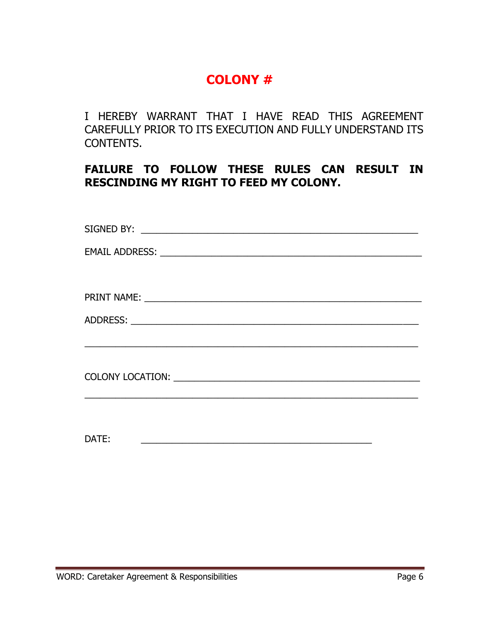## **COLONY #**

I HEREBY WARRANT THAT I HAVE READ THIS AGREEMENT CAREFULLY PRIOR TO ITS EXECUTION AND FULLY UNDERSTAND ITS CONTENTS.

#### **FAILURE TO FOLLOW THESE RULES CAN RESULT IN RESCINDING MY RIGHT TO FEED MY COLONY.**

| DATE:<br><u> 1980 - Johann John Stone, markin film ar yn y brenin y brenin y brenin y brenin y brenin y brenin y brenin y</u> |
|-------------------------------------------------------------------------------------------------------------------------------|